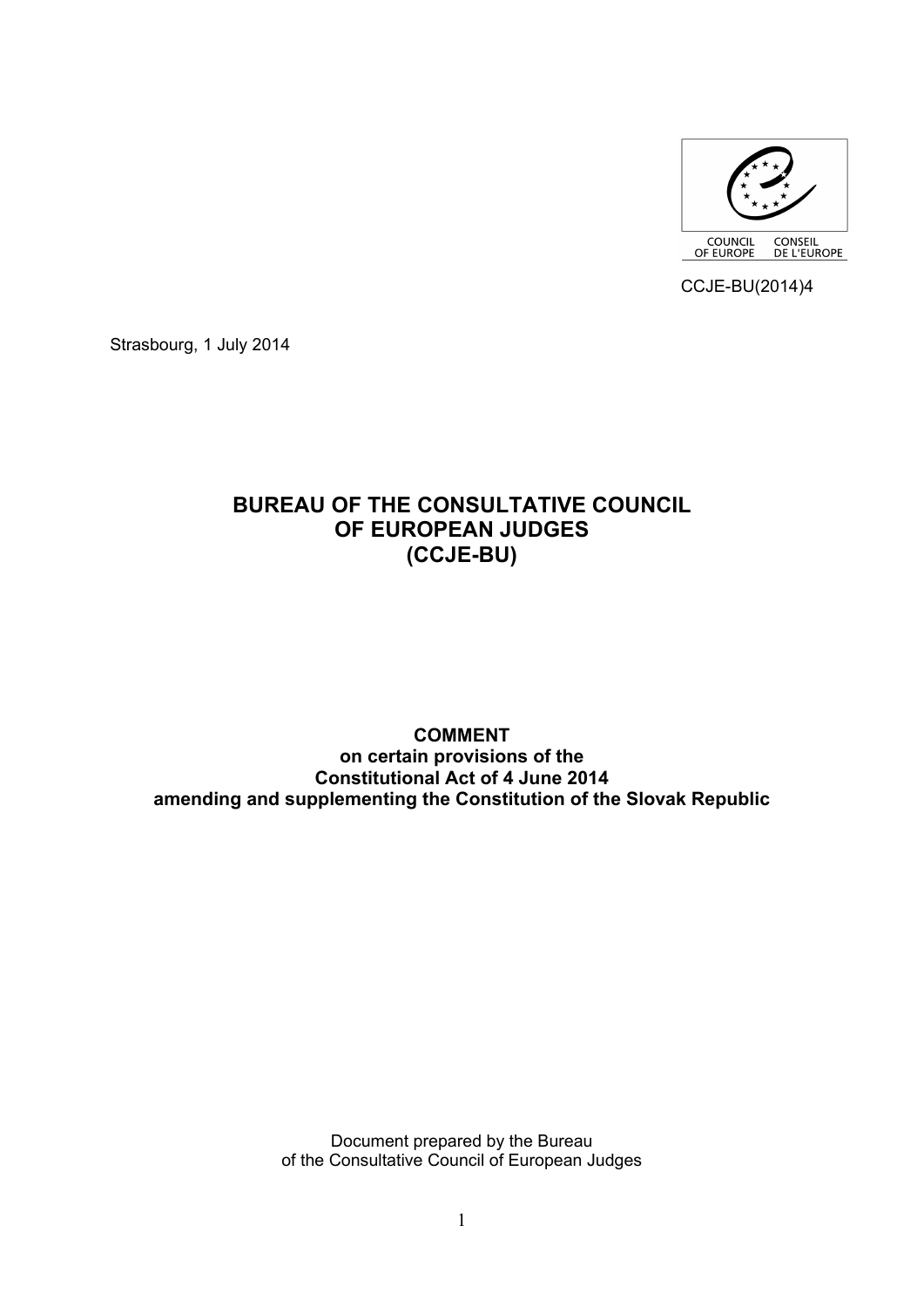

CCJE-BU(2014)4

Strasbourg, 1 July 2014

# **BUREAU OF THE CONSULTATIVE COUNCIL OF EUROPEAN JUDGES (CCJE-BU)**

# **COMMENT on certain provisions of the Constitutional Act of 4 June 2014 amending and supplementing the Constitution of the Slovak Republic**

Document prepared by the Bureau of the Consultative Council of European Judges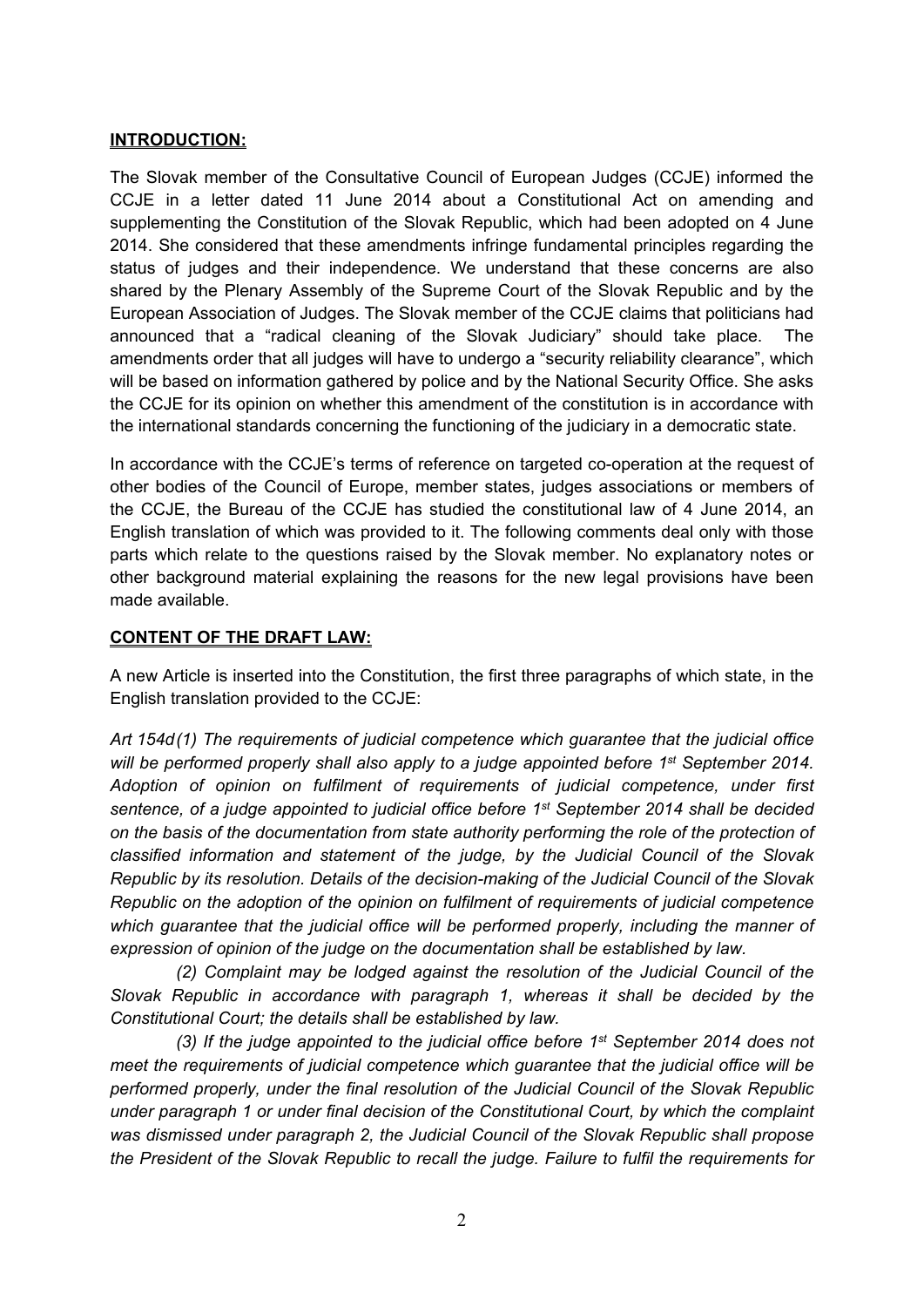#### **INTRODUCTION:**

The Slovak member of the Consultative Council of European Judges (CCJE) informed the CCJE in a letter dated 11 June 2014 about a Constitutional Act on amending and supplementing the Constitution of the Slovak Republic, which had been adopted on 4 June 2014. She considered that these amendments infringe fundamental principles regarding the status of judges and their independence. We understand that these concerns are also shared by the Plenary Assembly of the Supreme Court of the Slovak Republic and by the European Association of Judges. The Slovak member of the CCJE claims that politicians had announced that a "radical cleaning of the Slovak Judiciary" should take place. The amendments order that all judges will have to undergo a "security reliability clearance", which will be based on information gathered by police and by the National Security Office. She asks the CCJE for its opinion on whether this amendment of the constitution is in accordance with the international standards concerning the functioning of the judiciary in a democratic state.

In accordance with the CCJE's terms of reference on targeted co-operation at the request of other bodies of the Council of Europe, member states, judges associations or members of the CCJE, the Bureau of the CCJE has studied the constitutional law of 4 June 2014, an English translation of which was provided to it. The following comments deal only with those parts which relate to the questions raised by the Slovak member. No explanatory notes or other background material explaining the reasons for the new legal provisions have been made available.

#### **CONTENT OF THE DRAFT LAW:**

A new Article is inserted into the Constitution, the first three paragraphs of which state, in the English translation provided to the CCJE:

*Art 154d(1) The requirements of judicial competence which guarantee that the judicial office will be performed properly shall also apply to a judge appointed before 1st September 2014. Adoption of opinion on fulfilment of requirements of judicial competence, under first sentence, of a judge appointed to judicial office before 1st September 2014 shall be decided on the basis of the documentation from state authority performing the role of the protection of classified information and statement of the judge, by the Judicial Council of the Slovak Republic by its resolution. Details of the decision-making of the Judicial Council of the Slovak Republic on the adoption of the opinion on fulfilment of requirements of judicial competence which guarantee that the judicial office will be performed properly, including the manner of expression of opinion of the judge on the documentation shall be established by law.* 

*(2) Complaint may be lodged against the resolution of the Judicial Council of the Slovak Republic in accordance with paragraph 1, whereas it shall be decided by the Constitutional Court; the details shall be established by law.*

*(3) If the judge appointed to the judicial office before 1st September 2014 does not meet the requirements of judicial competence which guarantee that the judicial office will be performed properly, under the final resolution of the Judicial Council of the Slovak Republic under paragraph 1 or under final decision of the Constitutional Court, by which the complaint was dismissed under paragraph 2, the Judicial Council of the Slovak Republic shall propose the President of the Slovak Republic to recall the judge. Failure to fulfil the requirements for*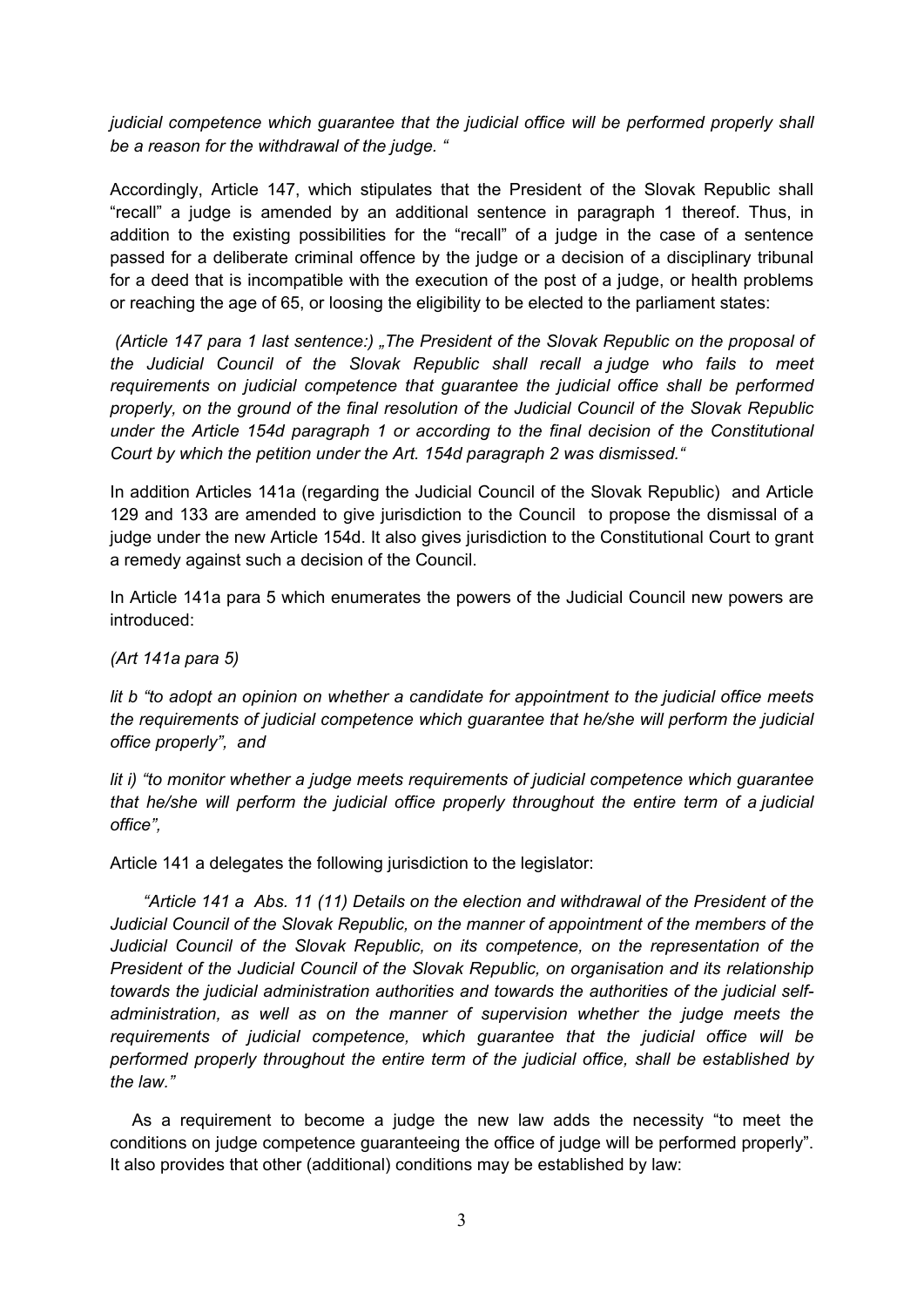*judicial competence which guarantee that the judicial office will be performed properly shall be a reason for the withdrawal of the judge. "*

Accordingly, Article 147, which stipulates that the President of the Slovak Republic shall "recall" a judge is amended by an additional sentence in paragraph 1 thereof. Thus, in addition to the existing possibilities for the "recall" of a judge in the case of a sentence passed for a deliberate criminal offence by the judge or a decision of a disciplinary tribunal for a deed that is incompatible with the execution of the post of a judge, or health problems or reaching the age of 65, or loosing the eligibility to be elected to the parliament states:

 *(Article 147 para 1 last sentence:) "The President of the Slovak Republic on the proposal of the Judicial Council of the Slovak Republic shall recall a judge who fails to meet requirements on judicial competence that guarantee the judicial office shall be performed properly, on the ground of the final resolution of the Judicial Council of the Slovak Republic under the Article 154d paragraph 1 or according to the final decision of the Constitutional Court by which the petition under the Art. 154d paragraph 2 was dismissed."* 

In addition Articles 141a (regarding the Judicial Council of the Slovak Republic) and Article 129 and 133 are amended to give jurisdiction to the Council to propose the dismissal of a judge under the new Article 154d. It also gives jurisdiction to the Constitutional Court to grant a remedy against such a decision of the Council.

In Article 141a para 5 which enumerates the powers of the Judicial Council new powers are introduced:

*(Art 141a para 5)* 

*lit b "to adopt an opinion on whether a candidate for appointment to the judicial office meets the requirements of judicial competence which guarantee that he/she will perform the judicial office properly", and*

*lit i) "to monitor whether a judge meets requirements of judicial competence which guarantee that he/she will perform the judicial office properly throughout the entire term of a judicial office",* 

Article 141 a delegates the following jurisdiction to the legislator:

*"Article 141 a Abs. 11 (11) Details on the election and withdrawal of the President of the Judicial Council of the Slovak Republic, on the manner of appointment of the members of the Judicial Council of the Slovak Republic, on its competence, on the representation of the President of the Judicial Council of the Slovak Republic, on organisation and its relationship towards the judicial administration authorities and towards the authorities of the judicial selfadministration, as well as on the manner of supervision whether the judge meets the requirements of judicial competence, which guarantee that the judicial office will be performed properly throughout the entire term of the judicial office, shall be established by the law."*

As a requirement to become a judge the new law adds the necessity "to meet the conditions on judge competence guaranteeing the office of judge will be performed properly". It also provides that other (additional) conditions may be established by law: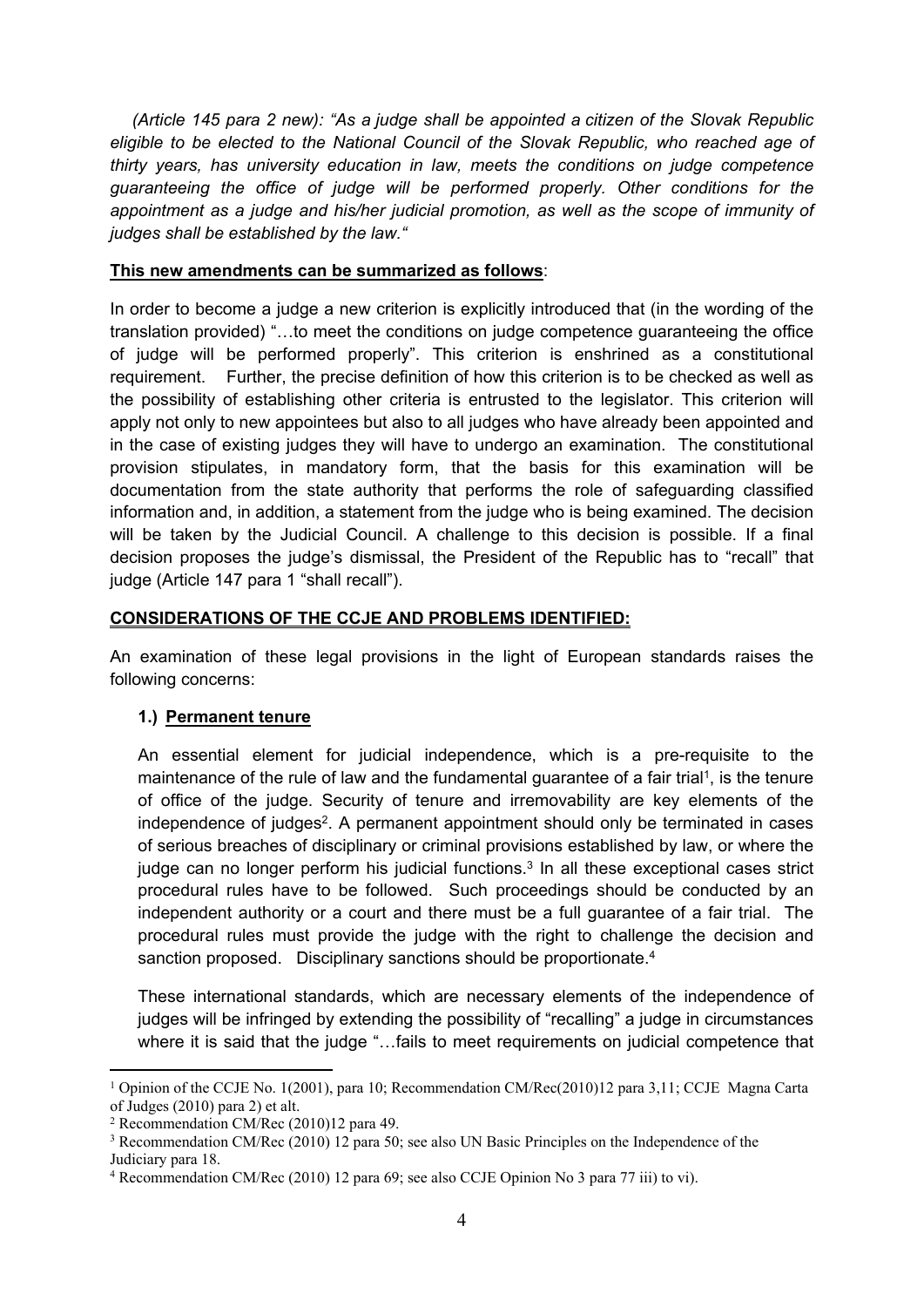*(Article 145 para 2 new): "As a judge shall be appointed a citizen of the Slovak Republic eligible to be elected to the National Council of the Slovak Republic, who reached age of thirty years, has university education in law, meets the conditions on judge competence guaranteeing the office of judge will be performed properly. Other conditions for the appointment as a judge and his/her judicial promotion, as well as the scope of immunity of judges shall be established by the law."*

#### **This new amendments can be summarized as follows**:

In order to become a judge a new criterion is explicitly introduced that (in the wording of the translation provided) "…to meet the conditions on judge competence guaranteeing the office of judge will be performed properly". This criterion is enshrined as a constitutional requirement. Further, the precise definition of how this criterion is to be checked as well as the possibility of establishing other criteria is entrusted to the legislator. This criterion will apply not only to new appointees but also to all judges who have already been appointed and in the case of existing judges they will have to undergo an examination. The constitutional provision stipulates, in mandatory form, that the basis for this examination will be documentation from the state authority that performs the role of safeguarding classified information and, in addition, a statement from the judge who is being examined. The decision will be taken by the Judicial Council. A challenge to this decision is possible. If a final decision proposes the judge's dismissal, the President of the Republic has to "recall" that judge (Article 147 para 1 "shall recall").

#### **CONSIDERATIONS OF THE CCJE AND PROBLEMS IDENTIFIED:**

An examination of these legal provisions in the light of European standards raises the following concerns:

## **1.) Permanent tenure**

An essential element for judicial independence, which is a pre-requisite to the maintenance of the rule of law and the fundamental guarantee of a fair trial<sup>1</sup>, is the tenure of office of the judge. Security of tenure and irremovability are key elements of the independence of judges<sup>2</sup>. A permanent appointment should only be terminated in cases of serious breaches of disciplinary or criminal provisions established by law, or where the judge can no longer perform his judicial functions.<sup>3</sup> In all these exceptional cases strict procedural rules have to be followed. Such proceedings should be conducted by an independent authority or a court and there must be a full guarantee of a fair trial. The procedural rules must provide the judge with the right to challenge the decision and sanction proposed. Disciplinary sanctions should be proportionate.<sup>4</sup>

These international standards, which are necessary elements of the independence of judges will be infringed by extending the possibility of "recalling" a judge in circumstances where it is said that the judge "…fails to meet requirements on judicial competence that

<sup>1</sup> Opinion of the CCJE No. 1(2001), para 10; Recommendation CM/Rec(2010)12 para 3,11; CCJE Magna Carta of Judges (2010) para 2) et alt.

<sup>2</sup> Recommendation CM/Rec (2010)12 para 49.

<sup>&</sup>lt;sup>3</sup> Recommendation CM/Rec (2010) 12 para 50; see also UN Basic Principles on the Independence of the Judiciary para 18.

<sup>4</sup> Recommendation CM/Rec (2010) 12 para 69; see also CCJE Opinion No 3 para 77 iii) to vi).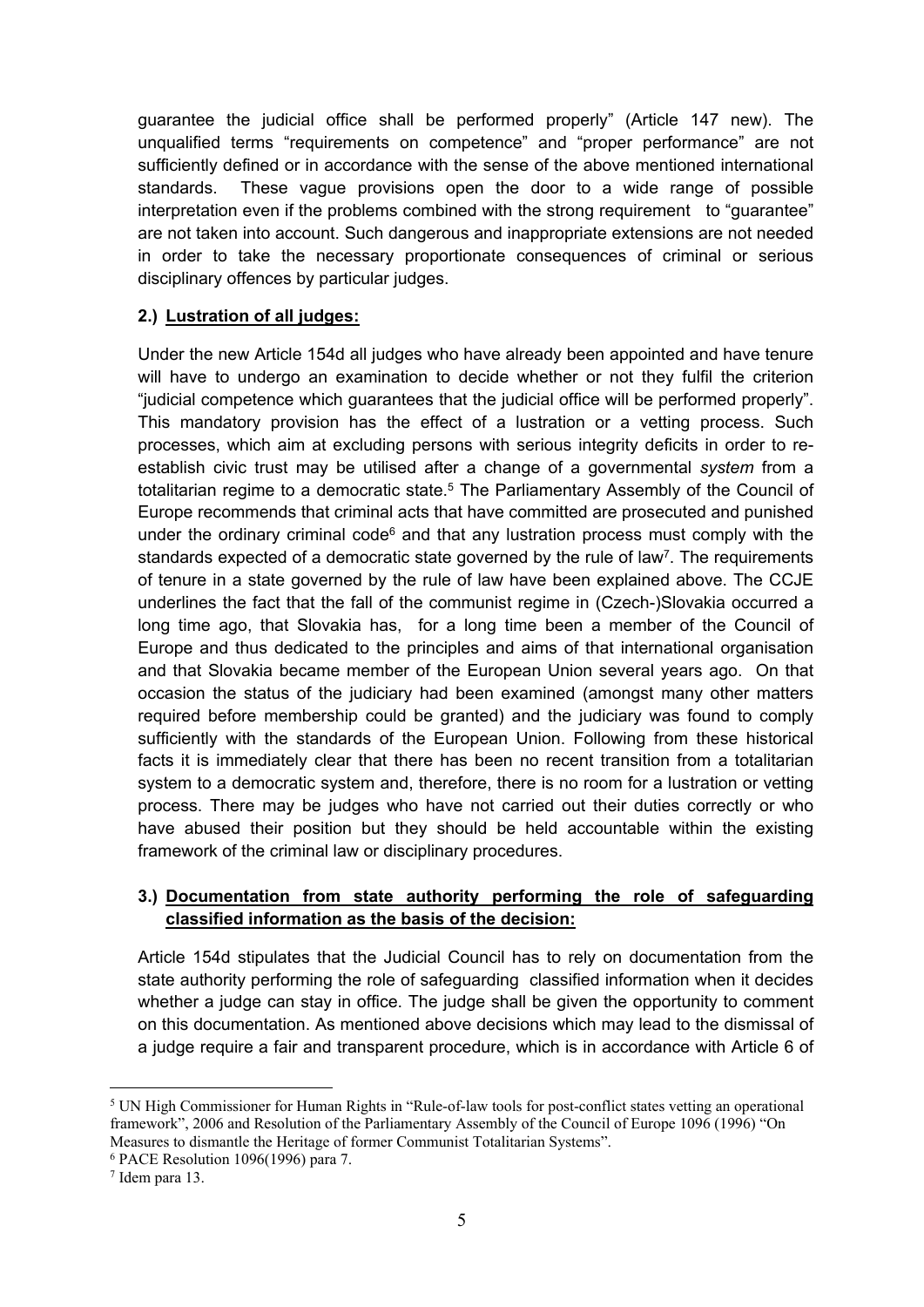guarantee the judicial office shall be performed properly" (Article 147 new). The unqualified terms "requirements on competence" and "proper performance" are not sufficiently defined or in accordance with the sense of the above mentioned international standards. These vague provisions open the door to a wide range of possible interpretation even if the problems combined with the strong requirement to "guarantee" are not taken into account. Such dangerous and inappropriate extensions are not needed in order to take the necessary proportionate consequences of criminal or serious disciplinary offences by particular judges.

#### **2.) Lustration of all judges:**

Under the new Article 154d all judges who have already been appointed and have tenure will have to undergo an examination to decide whether or not they fulfil the criterion "judicial competence which guarantees that the judicial office will be performed properly". This mandatory provision has the effect of a lustration or a vetting process. Such processes, which aim at excluding persons with serious integrity deficits in order to reestablish civic trust may be utilised after a change of a governmental *system* from a totalitarian regime to a democratic state.<sup>5</sup> The Parliamentary Assembly of the Council of Europe recommends that criminal acts that have committed are prosecuted and punished under the ordinary criminal code $6$  and that any lustration process must comply with the standards expected of a democratic state governed by the rule of law<sup>7</sup>. The requirements of tenure in a state governed by the rule of law have been explained above. The CCJE underlines the fact that the fall of the communist regime in (Czech-)Slovakia occurred a long time ago, that Slovakia has, for a long time been a member of the Council of Europe and thus dedicated to the principles and aims of that international organisation and that Slovakia became member of the European Union several years ago. On that occasion the status of the judiciary had been examined (amongst many other matters required before membership could be granted) and the judiciary was found to comply sufficiently with the standards of the European Union. Following from these historical facts it is immediately clear that there has been no recent transition from a totalitarian system to a democratic system and, therefore, there is no room for a lustration or vetting process. There may be judges who have not carried out their duties correctly or who have abused their position but they should be held accountable within the existing framework of the criminal law or disciplinary procedures.

### **3.) Documentation from state authority performing the role of safeguarding classified information as the basis of the decision:**

Article 154d stipulates that the Judicial Council has to rely on documentation from the state authority performing the role of safeguarding classified information when it decides whether a judge can stay in office. The judge shall be given the opportunity to comment on this documentation. As mentioned above decisions which may lead to the dismissal of a judge require a fair and transparent procedure, which is in accordance with Article 6 of

<sup>&</sup>lt;sup>5</sup> UN High Commissioner for Human Rights in "Rule-of-law tools for post-conflict states vetting an operational framework", 2006 and Resolution of the Parliamentary Assembly of the Council of Europe 1096 (1996) "On Measures to dismantle the Heritage of former Communist Totalitarian Systems".

<sup>6</sup> PACE Resolution 1096(1996) para 7.

<sup>7</sup> Idem para 13.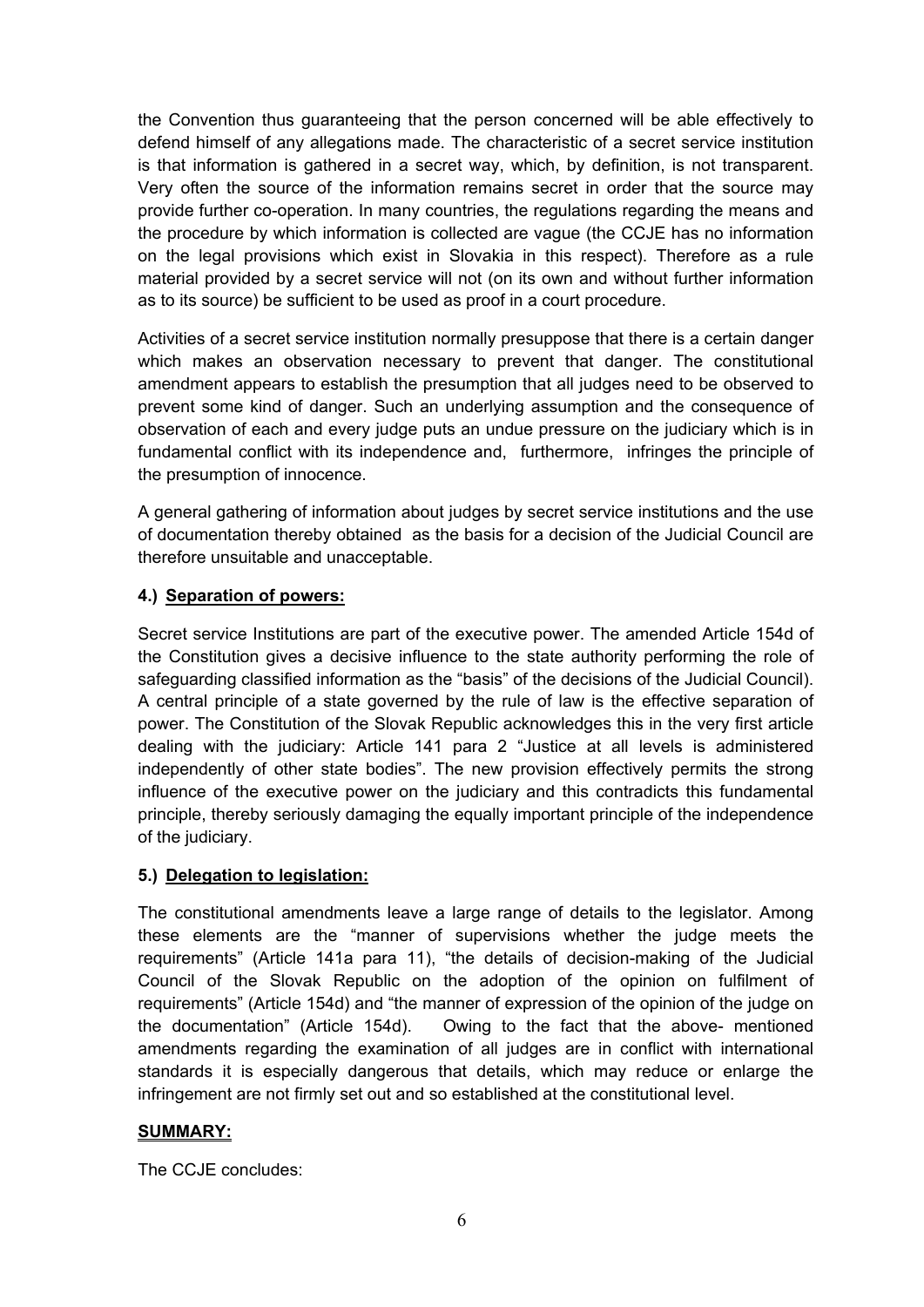the Convention thus guaranteeing that the person concerned will be able effectively to defend himself of any allegations made. The characteristic of a secret service institution is that information is gathered in a secret way, which, by definition, is not transparent. Very often the source of the information remains secret in order that the source may provide further co-operation. In many countries, the regulations regarding the means and the procedure by which information is collected are vague (the CCJE has no information on the legal provisions which exist in Slovakia in this respect). Therefore as a rule material provided by a secret service will not (on its own and without further information as to its source) be sufficient to be used as proof in a court procedure.

Activities of a secret service institution normally presuppose that there is a certain danger which makes an observation necessary to prevent that danger. The constitutional amendment appears to establish the presumption that all judges need to be observed to prevent some kind of danger. Such an underlying assumption and the consequence of observation of each and every judge puts an undue pressure on the judiciary which is in fundamental conflict with its independence and, furthermore, infringes the principle of the presumption of innocence.

A general gathering of information about judges by secret service institutions and the use of documentation thereby obtained as the basis for a decision of the Judicial Council are therefore unsuitable and unacceptable.

## **4.) Separation of powers:**

Secret service Institutions are part of the executive power. The amended Article 154d of the Constitution gives a decisive influence to the state authority performing the role of safeguarding classified information as the "basis" of the decisions of the Judicial Council). A central principle of a state governed by the rule of law is the effective separation of power. The Constitution of the Slovak Republic acknowledges this in the very first article dealing with the judiciary: Article 141 para 2 "Justice at all levels is administered independently of other state bodies". The new provision effectively permits the strong influence of the executive power on the judiciary and this contradicts this fundamental principle, thereby seriously damaging the equally important principle of the independence of the judiciary.

## **5.) Delegation to legislation:**

The constitutional amendments leave a large range of details to the legislator. Among these elements are the "manner of supervisions whether the judge meets the requirements" (Article 141a para 11), "the details of decision-making of the Judicial Council of the Slovak Republic on the adoption of the opinion on fulfilment of requirements" (Article 154d) and "the manner of expression of the opinion of the judge on the documentation" (Article 154d). Owing to the fact that the above- mentioned amendments regarding the examination of all judges are in conflict with international standards it is especially dangerous that details, which may reduce or enlarge the infringement are not firmly set out and so established at the constitutional level.

## **SUMMARY:**

The CCJE concludes: